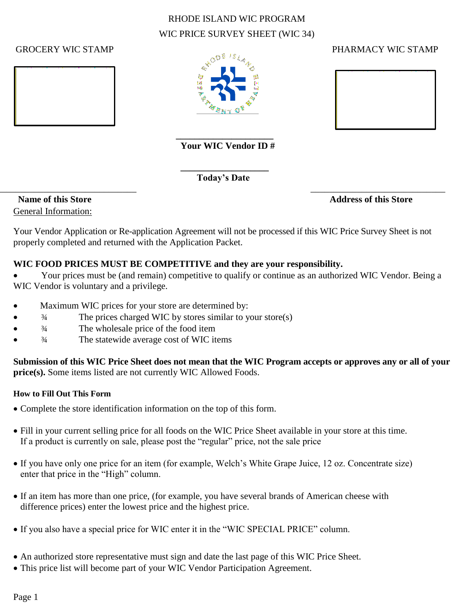# RHODE ISLAND WIC PROGRAM WIC PRICE SURVEY SHEET (WIC 34)



#### **\_\_\_\_\_\_\_\_\_\_\_\_\_\_\_\_\_\_\_\_\_ Your WIC Vendor ID #**

 **Today's Date**  $\overline{\phantom{a}}$  , and the contract of the contract of the contract of the contract of the contract of the contract of the contract of the contract of the contract of the contract of the contract of the contract of the contrac

#### GROCERY WIC STAMP GROUP CONTROL CONTROL CONTROL PERSONAL PROPERTY WIC STAMP



General Information:

**Name of this Store Address of this Store** Address of this Store

Your Vendor Application or Re-application Agreement will not be processed if this WIC Price Survey Sheet is not properly completed and returned with the Application Packet.

## **WIC FOOD PRICES MUST BE COMPETITIVE and they are your responsibility.**

 Your prices must be (and remain) competitive to qualify or continue as an authorized WIC Vendor. Being a WIC Vendor is voluntary and a privilege.

Maximum WIC prices for your store are determined by:

 **\_\_\_\_\_\_\_\_\_\_\_\_\_\_\_\_\_\_\_**

- ¾ The prices charged WIC by stores similar to your store(s)
- ¾ The wholesale price of the food item
- ¾ The statewide average cost of WIC items

**Submission of this WIC Price Sheet does not mean that the WIC Program accepts or approves any or all of your price(s).** Some items listed are not currently WIC Allowed Foods.

## **How to Fill Out This Form**

- Complete the store identification information on the top of this form.
- Fill in your current selling price for all foods on the WIC Price Sheet available in your store at this time. If a product is currently on sale, please post the "regular" price, not the sale price
- If you have only one price for an item (for example, Welch's White Grape Juice, 12 oz. Concentrate size) enter that price in the "High" column.
- If an item has more than one price, (for example, you have several brands of American cheese with difference prices) enter the lowest price and the highest price.
- If you also have a special price for WIC enter it in the "WIC SPECIAL PRICE" column.
- An authorized store representative must sign and date the last page of this WIC Price Sheet.
- This price list will become part of your WIC Vendor Participation Agreement.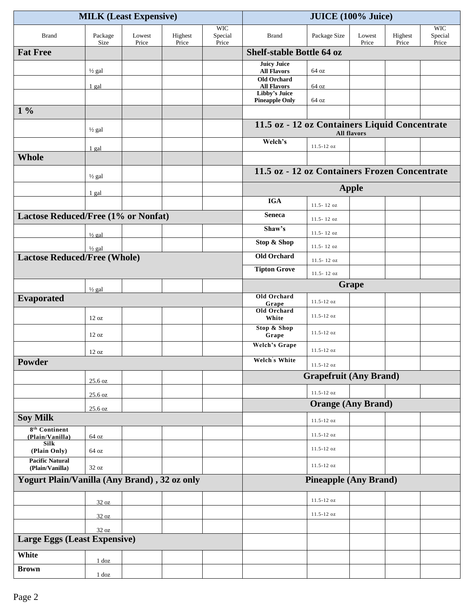|                                              |                   | <b>MILK (Least Expensive)</b> |                  | <b>JUICE</b> (100% Juice)      |                                               |                               |                    |                  |                                |
|----------------------------------------------|-------------------|-------------------------------|------------------|--------------------------------|-----------------------------------------------|-------------------------------|--------------------|------------------|--------------------------------|
| <b>Brand</b>                                 | Package<br>Size   | Lowest<br>Price               | Highest<br>Price | <b>WIC</b><br>Special<br>Price | <b>Brand</b>                                  | Package Size                  | Lowest<br>Price    | Highest<br>Price | <b>WIC</b><br>Special<br>Price |
| <b>Fat Free</b>                              |                   |                               |                  |                                | <b>Shelf-stable Bottle 64 oz</b>              |                               |                    |                  |                                |
|                                              | $\frac{1}{2}$ gal |                               |                  |                                | <b>Juicy Juice</b><br><b>All Flavors</b>      | 64 oz                         |                    |                  |                                |
|                                              |                   |                               |                  |                                | <b>Old Orchard</b>                            |                               |                    |                  |                                |
|                                              | 1 gal             |                               |                  |                                | <b>All Flavors</b><br>Libby's Juice           | 64 oz                         |                    |                  |                                |
| $1\%$                                        |                   |                               |                  |                                | <b>Pineapple Only</b>                         | 64 oz                         |                    |                  |                                |
|                                              |                   |                               |                  |                                | 11.5 oz - 12 oz Containers Liquid Concentrate |                               |                    |                  |                                |
|                                              | $\frac{1}{2}$ gal |                               |                  |                                |                                               |                               | <b>All flavors</b> |                  |                                |
|                                              | 1 gal             |                               |                  |                                | Welch's                                       | 11.5-12 oz                    |                    |                  |                                |
| <b>Whole</b>                                 |                   |                               |                  |                                |                                               |                               |                    |                  |                                |
|                                              | $\frac{1}{2}$ gal |                               |                  |                                | 11.5 oz - 12 oz Containers Frozen Concentrate |                               |                    |                  |                                |
|                                              | 1 gal             |                               |                  |                                |                                               |                               | <b>Apple</b>       |                  |                                |
|                                              |                   |                               |                  |                                | <b>IGA</b>                                    | $11.5 - 12 oz$                |                    |                  |                                |
| Lactose Reduced/Free (1% or Nonfat)          |                   |                               |                  |                                | <b>Seneca</b>                                 | $11.5 - 12 oz$                |                    |                  |                                |
|                                              | $\frac{1}{2}$ gal |                               |                  |                                | Shaw's                                        | $11.5 - 12 oz$                |                    |                  |                                |
|                                              | $\frac{1}{2}$ gal |                               |                  |                                | Stop & Shop                                   | $11.5 - 12 oz$                |                    |                  |                                |
| <b>Lactose Reduced/Free (Whole)</b>          |                   |                               |                  |                                | <b>Old Orchard</b>                            | 11.5-12 oz                    |                    |                  |                                |
|                                              |                   |                               |                  |                                | <b>Tipton Grove</b>                           | 11.5-12 oz                    |                    |                  |                                |
|                                              | $\frac{1}{2}$ gal |                               |                  |                                |                                               |                               | <b>Grape</b>       |                  |                                |
| <b>Evaporated</b>                            |                   |                               |                  |                                | Old Orchard                                   | $11.5 - 12 oz$                |                    |                  |                                |
|                                              | 12 oz             |                               |                  |                                | Grape<br>Old Orchard<br>White                 | $11.5 - 12 oz$                |                    |                  |                                |
|                                              | 12 oz             |                               |                  |                                | <b>Stop &amp; Shop</b><br>Grape               | $11.5 - 12$ oz                |                    |                  |                                |
|                                              | 12 oz             |                               |                  |                                | <b>Welch's Grape</b>                          | $11.5 - 12$ oz                |                    |                  |                                |
| Powder                                       |                   |                               |                  |                                | Welch's White                                 | $11.5 - 12 oz$                |                    |                  |                                |
|                                              | 25.6 oz           |                               |                  |                                |                                               | <b>Grapefruit (Any Brand)</b> |                    |                  |                                |
|                                              | 25.6 oz           |                               |                  |                                |                                               | $11.5 - 12 oz$                |                    |                  |                                |
|                                              | 25.6 oz           |                               |                  |                                |                                               | <b>Orange (Any Brand)</b>     |                    |                  |                                |
| <b>Soy Milk</b>                              |                   |                               |                  |                                |                                               | $11.5 - 12 oz$                |                    |                  |                                |
| 8 <sup>th</sup> Continent<br>(Plain/Vanilla) | 64 oz             |                               |                  |                                |                                               | $11.5 - 12$ oz                |                    |                  |                                |
| Silk<br>(Plain Only)                         | 64 oz             |                               |                  |                                |                                               | $11.5 - 12$ oz                |                    |                  |                                |
| <b>Pacific Natural</b><br>(Plain/Vanilla)    | $32\ \mathrm{oz}$ |                               |                  |                                |                                               | $11.5 - 12 oz$                |                    |                  |                                |
| Yogurt Plain/Vanilla (Any Brand), 32 oz only |                   |                               |                  |                                |                                               | <b>Pineapple (Any Brand)</b>  |                    |                  |                                |
|                                              | 32 oz             |                               |                  |                                |                                               | $11.5 - 12 oz$                |                    |                  |                                |
|                                              | 32 oz             |                               |                  |                                |                                               | $11.5 - 12 oz$                |                    |                  |                                |
|                                              | 32 oz             |                               |                  |                                |                                               |                               |                    |                  |                                |
| <b>Large Eggs (Least Expensive)</b>          |                   |                               |                  |                                |                                               |                               |                    |                  |                                |
| White                                        | $1$ doz           |                               |                  |                                |                                               |                               |                    |                  |                                |
| <b>Brown</b>                                 | $1$ doz           |                               |                  |                                |                                               |                               |                    |                  |                                |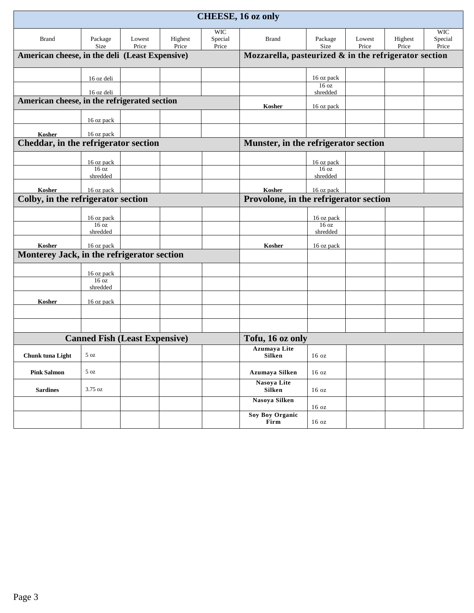|                                                      |                                                |                 |                                        |                  | <b>CHEESE, 16 oz only</b>                                |                              |                 |                  |                  |
|------------------------------------------------------|------------------------------------------------|-----------------|----------------------------------------|------------------|----------------------------------------------------------|------------------------------|-----------------|------------------|------------------|
|                                                      |                                                |                 |                                        | <b>WIC</b>       |                                                          |                              |                 |                  | <b>WIC</b>       |
| <b>Brand</b>                                         | Package<br>Size                                | Lowest<br>Price | Highest<br>Price                       | Special<br>Price | <b>Brand</b>                                             | Package<br>Size              | Lowest<br>Price | Highest<br>Price | Special<br>Price |
|                                                      | American cheese, in the deli (Least Expensive) |                 |                                        |                  | Mozzarella, pasteurized $\&$ in the refrigerator section |                              |                 |                  |                  |
|                                                      | 16 oz deli                                     |                 |                                        |                  |                                                          | 16 oz pack                   |                 |                  |                  |
|                                                      | 16 oz deli                                     |                 |                                        |                  |                                                          | 16 oz<br>shredded            |                 |                  |                  |
| American cheese, in the refrigerated section         |                                                |                 |                                        |                  |                                                          |                              |                 |                  |                  |
|                                                      |                                                |                 |                                        |                  | Kosher                                                   | 16 oz pack                   |                 |                  |                  |
|                                                      | 16 oz pack                                     |                 |                                        |                  |                                                          |                              |                 |                  |                  |
| Kosher                                               | 16 oz pack                                     |                 |                                        |                  |                                                          |                              |                 |                  |                  |
| Cheddar, in the refrigerator section                 |                                                |                 | Munster, in the refrigerator section   |                  |                                                          |                              |                 |                  |                  |
|                                                      | 16 oz pack                                     |                 |                                        |                  |                                                          | 16 oz pack                   |                 |                  |                  |
|                                                      | 16 oz                                          |                 |                                        |                  |                                                          | 16 oz                        |                 |                  |                  |
|                                                      | shredded                                       |                 |                                        |                  |                                                          | shredded                     |                 |                  |                  |
| Kosher                                               | 16 oz pack                                     |                 |                                        |                  | Kosher                                                   | 16 oz pack                   |                 |                  |                  |
| Colby, in the refrigerator section                   |                                                |                 | Provolone, in the refrigerator section |                  |                                                          |                              |                 |                  |                  |
|                                                      | 16 oz pack                                     |                 |                                        |                  |                                                          | 16 oz pack                   |                 |                  |                  |
|                                                      | 16 <sub>oz</sub><br>shredded                   |                 |                                        |                  |                                                          | 16 <sub>oz</sub><br>shredded |                 |                  |                  |
|                                                      |                                                |                 |                                        |                  |                                                          |                              |                 |                  |                  |
| Kosher<br>Monterey Jack, in the refrigerator section | 16 oz pack                                     |                 |                                        |                  | Kosher                                                   | 16 oz pack                   |                 |                  |                  |
|                                                      |                                                |                 |                                        |                  |                                                          |                              |                 |                  |                  |
|                                                      | 16 oz pack                                     |                 |                                        |                  |                                                          |                              |                 |                  |                  |
|                                                      | 16 <sub>oz</sub><br>shredded                   |                 |                                        |                  |                                                          |                              |                 |                  |                  |
| Kosher                                               | 16 oz pack                                     |                 |                                        |                  |                                                          |                              |                 |                  |                  |
|                                                      |                                                |                 |                                        |                  |                                                          |                              |                 |                  |                  |
|                                                      |                                                |                 |                                        |                  |                                                          |                              |                 |                  |                  |
|                                                      | <b>Canned Fish (Least Expensive)</b>           |                 |                                        |                  | Tofu, 16 oz only                                         |                              |                 |                  |                  |
| Chunk tuna Light                                     | $5\ \mathrm{oz}$                               |                 |                                        |                  | <b>Azumaya Lite</b><br>Silken                            | $16 \text{ oz}$              |                 |                  |                  |
| <b>Pink Salmon</b>                                   | $5\ \text{oz}$                                 |                 |                                        |                  | Azumaya Silken                                           | 16 oz                        |                 |                  |                  |
| <b>Sardines</b>                                      | $3.75 \text{ oz}$                              |                 |                                        |                  | Nasoya Lite<br>Silken                                    | 16 oz                        |                 |                  |                  |
|                                                      |                                                |                 |                                        |                  | Nasoya Silken                                            | 16 oz                        |                 |                  |                  |
|                                                      |                                                |                 |                                        |                  | <b>Soy Boy Organic</b><br>Firm                           | 16 oz                        |                 |                  |                  |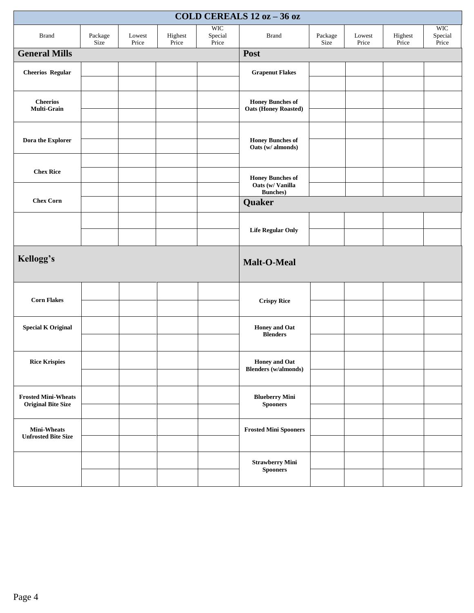|                                                         |                 |                 |                  |                                | COLD CEREALS 12 oz - 36 oz                             |                 |                 |                  |                                |
|---------------------------------------------------------|-----------------|-----------------|------------------|--------------------------------|--------------------------------------------------------|-----------------|-----------------|------------------|--------------------------------|
| <b>Brand</b>                                            | Package<br>Size | Lowest<br>Price | Highest<br>Price | <b>WIC</b><br>Special<br>Price | <b>Brand</b>                                           | Package<br>Size | Lowest<br>Price | Highest<br>Price | <b>WIC</b><br>Special<br>Price |
| <b>General Mills</b>                                    |                 |                 |                  |                                | Post                                                   |                 |                 |                  |                                |
| <b>Cheerios Regular</b>                                 |                 |                 |                  |                                | <b>Grapenut Flakes</b>                                 |                 |                 |                  |                                |
|                                                         |                 |                 |                  |                                |                                                        |                 |                 |                  |                                |
| <b>Cheerios</b><br>Multi-Grain                          |                 |                 |                  |                                | <b>Honey Bunches of</b><br><b>Oats (Honey Roasted)</b> |                 |                 |                  |                                |
|                                                         |                 |                 |                  |                                |                                                        |                 |                 |                  |                                |
| Dora the Explorer                                       |                 |                 |                  |                                | <b>Honey Bunches of</b><br>Oats (w/ almonds)           |                 |                 |                  |                                |
|                                                         |                 |                 |                  |                                |                                                        |                 |                 |                  |                                |
| <b>Chex Rice</b>                                        |                 |                 |                  |                                | <b>Honey Bunches of</b><br>Oats (w/ Vanilla            |                 |                 |                  |                                |
|                                                         |                 |                 |                  |                                | <b>Bunches</b> )                                       |                 |                 |                  |                                |
| <b>Chex Corn</b>                                        |                 |                 |                  |                                | Quaker                                                 |                 |                 |                  |                                |
|                                                         |                 |                 |                  |                                |                                                        |                 |                 |                  |                                |
|                                                         |                 |                 |                  |                                | <b>Life Regular Only</b>                               |                 |                 |                  |                                |
| Kellogg's                                               |                 |                 |                  |                                | Malt-O-Meal                                            |                 |                 |                  |                                |
|                                                         |                 |                 |                  |                                |                                                        |                 |                 |                  |                                |
| <b>Corn Flakes</b>                                      |                 |                 |                  |                                | <b>Crispy Rice</b>                                     |                 |                 |                  |                                |
| <b>Special K Original</b>                               |                 |                 |                  |                                | <b>Honey and Oat</b><br><b>Blenders</b>                |                 |                 |                  |                                |
|                                                         |                 |                 |                  |                                |                                                        |                 |                 |                  |                                |
| <b>Rice Krispies</b>                                    |                 |                 |                  |                                | <b>Honey and Oat</b><br><b>Blenders</b> (w/almonds)    |                 |                 |                  |                                |
|                                                         |                 |                 |                  |                                |                                                        |                 |                 |                  |                                |
| <b>Frosted Mini-Wheats</b><br><b>Original Bite Size</b> |                 |                 |                  |                                | <b>Blueberry Mini</b><br><b>Spooners</b>               |                 |                 |                  |                                |
|                                                         |                 |                 |                  |                                |                                                        |                 |                 |                  |                                |
| <b>Mini-Wheats</b><br><b>Unfrosted Bite Size</b>        |                 |                 |                  |                                | <b>Frosted Mini Spooners</b>                           |                 |                 |                  |                                |
|                                                         |                 |                 |                  |                                |                                                        |                 |                 |                  |                                |
|                                                         |                 |                 |                  |                                | <b>Strawberry Mini</b><br><b>Spooners</b>              |                 |                 |                  |                                |
|                                                         |                 |                 |                  |                                |                                                        |                 |                 |                  |                                |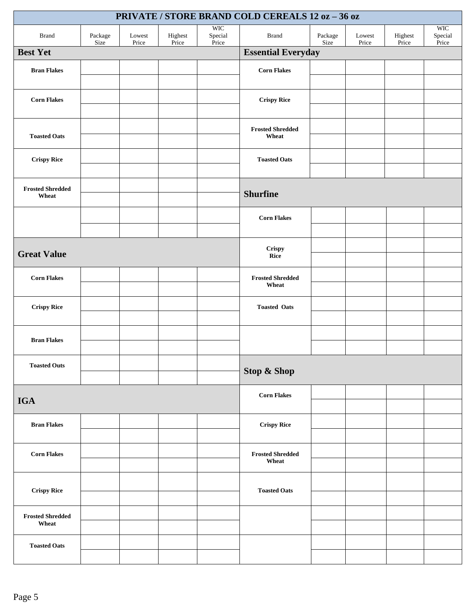|                                  | PRIVATE / STORE BRAND COLD CEREALS 12 oz - 36 oz |                 |                  |                                |                                  |                 |                 |                  |                                |  |
|----------------------------------|--------------------------------------------------|-----------------|------------------|--------------------------------|----------------------------------|-----------------|-----------------|------------------|--------------------------------|--|
| <b>Brand</b>                     | Package<br>Size                                  | Lowest<br>Price | Highest<br>Price | <b>WIC</b><br>Special<br>Price | <b>Brand</b>                     | Package<br>Size | Lowest<br>Price | Highest<br>Price | <b>WIC</b><br>Special<br>Price |  |
| <b>Best Yet</b>                  |                                                  |                 |                  |                                | <b>Essential Everyday</b>        |                 |                 |                  |                                |  |
| <b>Bran Flakes</b>               |                                                  |                 |                  |                                | <b>Corn Flakes</b>               |                 |                 |                  |                                |  |
| <b>Corn Flakes</b>               |                                                  |                 |                  |                                | <b>Crispy Rice</b>               |                 |                 |                  |                                |  |
| <b>Toasted Oats</b>              |                                                  |                 |                  |                                | <b>Frosted Shredded</b><br>Wheat |                 |                 |                  |                                |  |
| <b>Crispy Rice</b>               |                                                  |                 |                  |                                | <b>Toasted Oats</b>              |                 |                 |                  |                                |  |
| <b>Frosted Shredded</b><br>Wheat |                                                  |                 |                  |                                | <b>Shurfine</b>                  |                 |                 |                  |                                |  |
|                                  |                                                  |                 |                  |                                | <b>Corn Flakes</b>               |                 |                 |                  |                                |  |
| <b>Great Value</b>               |                                                  |                 |                  |                                | <b>Crispy</b><br>Rice            |                 |                 |                  |                                |  |
| <b>Corn Flakes</b>               |                                                  |                 |                  |                                | <b>Frosted Shredded</b><br>Wheat |                 |                 |                  |                                |  |
| <b>Crispy Rice</b>               |                                                  |                 |                  |                                | <b>Toasted Oats</b>              |                 |                 |                  |                                |  |
| <b>Bran Flakes</b>               |                                                  |                 |                  |                                |                                  |                 |                 |                  |                                |  |
| <b>Toasted Outs</b>              |                                                  |                 |                  |                                | <b>Stop &amp; Shop</b>           |                 |                 |                  |                                |  |
| <b>IGA</b>                       |                                                  |                 |                  |                                | <b>Corn Flakes</b>               |                 |                 |                  |                                |  |
| <b>Bran Flakes</b>               |                                                  |                 |                  |                                | <b>Crispy Rice</b>               |                 |                 |                  |                                |  |
| <b>Corn Flakes</b>               |                                                  |                 |                  |                                | <b>Frosted Shredded</b><br>Wheat |                 |                 |                  |                                |  |
| <b>Crispy Rice</b>               |                                                  |                 |                  |                                | <b>Toasted Oats</b>              |                 |                 |                  |                                |  |
| <b>Frosted Shredded</b><br>Wheat |                                                  |                 |                  |                                |                                  |                 |                 |                  |                                |  |
| <b>Toasted Oats</b>              |                                                  |                 |                  |                                |                                  |                 |                 |                  |                                |  |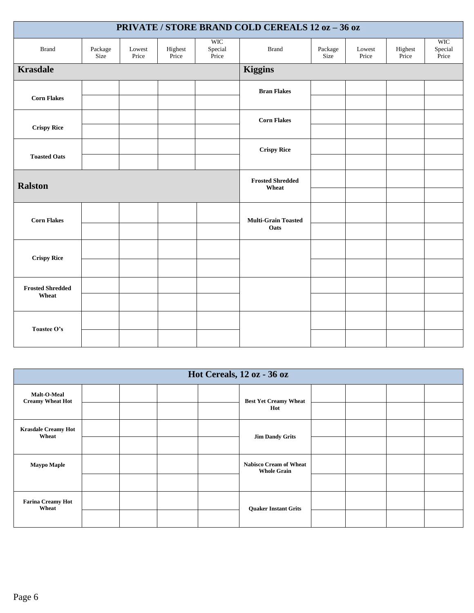|                                  |                 |                 |                  |                                | <b>PRIVATE / STORE BRAND COLD CEREALS 12 oz - 36 oz</b> |                 |                 |                  |                                |
|----------------------------------|-----------------|-----------------|------------------|--------------------------------|---------------------------------------------------------|-----------------|-----------------|------------------|--------------------------------|
| <b>Brand</b>                     | Package<br>Size | Lowest<br>Price | Highest<br>Price | <b>WIC</b><br>Special<br>Price | <b>Brand</b>                                            | Package<br>Size | Lowest<br>Price | Highest<br>Price | <b>WIC</b><br>Special<br>Price |
| <b>Krasdale</b>                  |                 |                 |                  |                                | <b>Kiggins</b>                                          |                 |                 |                  |                                |
|                                  |                 |                 |                  |                                | <b>Bran Flakes</b>                                      |                 |                 |                  |                                |
| <b>Corn Flakes</b>               |                 |                 |                  |                                |                                                         |                 |                 |                  |                                |
|                                  |                 |                 |                  |                                | <b>Corn Flakes</b>                                      |                 |                 |                  |                                |
| <b>Crispy Rice</b>               |                 |                 |                  |                                |                                                         |                 |                 |                  |                                |
| <b>Toasted Oats</b>              |                 |                 |                  |                                | <b>Crispy Rice</b>                                      |                 |                 |                  |                                |
|                                  |                 |                 |                  |                                |                                                         |                 |                 |                  |                                |
| <b>Ralston</b>                   |                 |                 |                  |                                | <b>Frosted Shredded</b><br>Wheat                        |                 |                 |                  |                                |
|                                  |                 |                 |                  |                                |                                                         |                 |                 |                  |                                |
| <b>Corn Flakes</b>               |                 |                 |                  |                                | <b>Multi-Grain Toasted</b>                              |                 |                 |                  |                                |
|                                  |                 |                 |                  |                                | Oats                                                    |                 |                 |                  |                                |
|                                  |                 |                 |                  |                                |                                                         |                 |                 |                  |                                |
| <b>Crispy Rice</b>               |                 |                 |                  |                                |                                                         |                 |                 |                  |                                |
|                                  |                 |                 |                  |                                |                                                         |                 |                 |                  |                                |
| <b>Frosted Shredded</b><br>Wheat |                 |                 |                  |                                |                                                         |                 |                 |                  |                                |
|                                  |                 |                 |                  |                                |                                                         |                 |                 |                  |                                |
| Toastee O's                      |                 |                 |                  |                                |                                                         |                 |                 |                  |                                |
|                                  |                 |                 |                  |                                |                                                         |                 |                 |                  |                                |

|                                        | Hot Cereals, 12 oz - 36 oz |  |  |  |                                                     |  |  |  |
|----------------------------------------|----------------------------|--|--|--|-----------------------------------------------------|--|--|--|
| Malt-O-Meal<br><b>Creamy Wheat Hot</b> |                            |  |  |  | <b>Best Yet Creamy Wheat</b>                        |  |  |  |
|                                        |                            |  |  |  | Hot                                                 |  |  |  |
| <b>Krasdale Creamy Hot</b><br>Wheat    |                            |  |  |  | <b>Jim Dandy Grits</b>                              |  |  |  |
|                                        |                            |  |  |  |                                                     |  |  |  |
| <b>Maypo Maple</b>                     |                            |  |  |  | <b>Nabisco Cream of Wheat</b><br><b>Whole Grain</b> |  |  |  |
|                                        |                            |  |  |  |                                                     |  |  |  |
| <b>Farina Creamy Hot</b><br>Wheat      |                            |  |  |  | <b>Quaker Instant Grits</b>                         |  |  |  |
|                                        |                            |  |  |  |                                                     |  |  |  |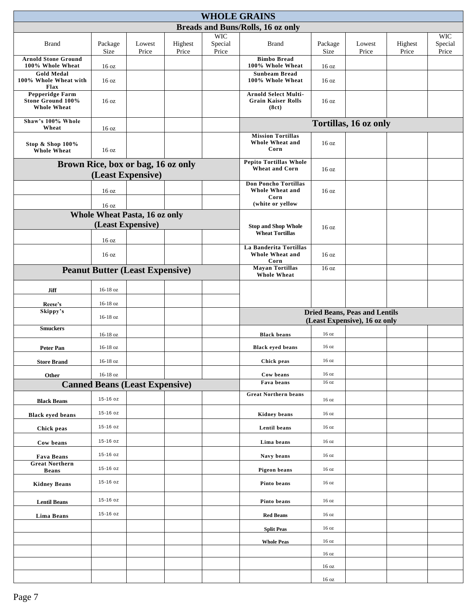|                                                                          |                                              |                                                         |                  | <b>WHOLE GRAINS</b>            |                                                                            |                  |                                                                       |                  |                                |
|--------------------------------------------------------------------------|----------------------------------------------|---------------------------------------------------------|------------------|--------------------------------|----------------------------------------------------------------------------|------------------|-----------------------------------------------------------------------|------------------|--------------------------------|
|                                                                          |                                              |                                                         |                  |                                | Breads and Buns/Rolls, 16 oz only                                          |                  |                                                                       |                  |                                |
| <b>Brand</b>                                                             | Package<br>Size                              | Lowest<br>Price                                         | Highest<br>Price | <b>WIC</b><br>Special<br>Price | <b>Brand</b>                                                               | Package<br>Size  | Lowest<br>Price                                                       | Highest<br>Price | <b>WIC</b><br>Special<br>Price |
| <b>Arnold Stone Ground</b><br>100% Whole Wheat                           | 16 oz                                        |                                                         |                  |                                | <b>Bimbo Bread</b><br>100% Whole Wheat                                     | 16 oz            |                                                                       |                  |                                |
| <b>Gold Medal</b><br>100% Whole Wheat with<br>Flax                       | 16 <sub>oz</sub>                             |                                                         |                  |                                | <b>Sunbeam Bread</b><br>100% Whole Wheat                                   | 16 oz            |                                                                       |                  |                                |
| <b>Pepperidge Farm</b><br><b>Stone Ground 100%</b><br><b>Whole Wheat</b> | 16 oz                                        |                                                         |                  |                                | <b>Arnold Select Multi-</b><br><b>Grain Kaiser Rolls</b><br>(8ct)          | 16 oz            |                                                                       |                  |                                |
| Shaw's 100% Whole<br>Wheat                                               | 16 <sub>oz</sub>                             |                                                         |                  |                                |                                                                            |                  | Tortillas, 16 oz only                                                 |                  |                                |
| Stop & Shop 100%<br><b>Whole Wheat</b>                                   | 16 <sub>oz</sub>                             |                                                         |                  |                                | <b>Mission Tortillas</b><br>Whole Wheat and<br>Corn                        | 16 <sub>oz</sub> |                                                                       |                  |                                |
|                                                                          |                                              | Brown Rice, box or bag, 16 oz only<br>(Least Expensive) |                  |                                | <b>Pepito Tortillas Whole</b><br><b>Wheat and Corn</b>                     | 16 oz            |                                                                       |                  |                                |
|                                                                          | 16 <sub>oz</sub>                             |                                                         |                  |                                | <b>Don Poncho Tortillas</b><br>Whole Wheat and<br>Corn<br>(white or yellow | 16 <sub>oz</sub> |                                                                       |                  |                                |
|                                                                          | 16 oz                                        | <b>Whole Wheat Pasta, 16 oz only</b>                    |                  |                                |                                                                            |                  |                                                                       |                  |                                |
|                                                                          |                                              | (Least Expensive)                                       |                  |                                | <b>Stop and Shop Whole</b><br><b>Wheat Tortillas</b>                       | 16 <sub>oz</sub> |                                                                       |                  |                                |
|                                                                          | 16 oz<br>16 oz                               |                                                         |                  |                                | La Banderita Tortillas<br>Whole Wheat and<br>Corn                          | 16 <sub>oz</sub> |                                                                       |                  |                                |
| <b>Peanut Butter (Least Expensive)</b>                                   | <b>Mayan Tortillas</b><br><b>Whole Wheat</b> | 16 <sub>oz</sub>                                        |                  |                                |                                                                            |                  |                                                                       |                  |                                |
| Jiff                                                                     | 16-18 oz                                     |                                                         |                  |                                |                                                                            |                  |                                                                       |                  |                                |
| Reese's                                                                  | 16-18 oz                                     |                                                         |                  |                                |                                                                            |                  |                                                                       |                  |                                |
|                                                                          | Skippy's<br>16-18 oz                         |                                                         |                  |                                |                                                                            |                  | <b>Dried Beans, Peas and Lentils</b><br>(Least Expensive), 16 oz only |                  |                                |
| <b>Smuckers</b>                                                          | 16-18 oz                                     |                                                         |                  |                                | <b>Black beans</b>                                                         | 16 oz            |                                                                       |                  |                                |
| <b>Peter Pan</b>                                                         | 16-18 oz                                     |                                                         |                  |                                | <b>Black eyed beans</b>                                                    | 16 <sub>oz</sub> |                                                                       |                  |                                |
| <b>Store Brand</b>                                                       | 16-18 oz                                     |                                                         |                  |                                | Chick peas                                                                 | 16 oz            |                                                                       |                  |                                |
| Other                                                                    | 16-18 oz                                     |                                                         |                  |                                | Cow beans                                                                  | 16 oz            |                                                                       |                  |                                |
|                                                                          |                                              | <b>Canned Beans (Least Expensive)</b>                   |                  |                                | Fava beans                                                                 | 16 oz            |                                                                       |                  |                                |
| <b>Black Beans</b>                                                       | 15-16 oz                                     |                                                         |                  |                                | <b>Great Northern beans</b>                                                | 16 oz            |                                                                       |                  |                                |
| <b>Black eyed beans</b>                                                  | 15-16 oz                                     |                                                         |                  |                                | Kidney beans                                                               | 16 oz            |                                                                       |                  |                                |
| Chick peas                                                               | 15-16 oz                                     |                                                         |                  |                                | Lentil beans                                                               | 16 oz            |                                                                       |                  |                                |
| Cow beans                                                                | 15-16 oz                                     |                                                         |                  |                                | Lima beans                                                                 | 16 oz            |                                                                       |                  |                                |
| Fava Beans                                                               | 15-16 oz                                     |                                                         |                  |                                | Navy beans                                                                 | 16 oz            |                                                                       |                  |                                |
| <b>Great Northern</b><br><b>Beans</b>                                    | 15-16 oz                                     |                                                         |                  |                                | Pigeon beans                                                               | 16 oz            |                                                                       |                  |                                |
| <b>Kidney Beans</b>                                                      | 15-16 oz                                     |                                                         |                  |                                | Pinto beans                                                                | 16 oz            |                                                                       |                  |                                |
| <b>Lentil Beans</b>                                                      | 15-16 oz                                     |                                                         |                  |                                | Pinto beans                                                                | 16 oz            |                                                                       |                  |                                |
| Lima Beans                                                               | 15-16 oz                                     |                                                         |                  |                                | <b>Red Beans</b>                                                           | 16 oz            |                                                                       |                  |                                |
|                                                                          |                                              |                                                         |                  |                                | <b>Split Peas</b>                                                          | 16 oz            |                                                                       |                  |                                |
|                                                                          |                                              |                                                         |                  |                                | <b>Whole Peas</b>                                                          | 16 oz            |                                                                       |                  |                                |
|                                                                          |                                              |                                                         |                  |                                |                                                                            | 16 oz            |                                                                       |                  |                                |
|                                                                          |                                              |                                                         |                  |                                |                                                                            | 16 oz            |                                                                       |                  |                                |
|                                                                          |                                              |                                                         |                  |                                |                                                                            | 16 oz            |                                                                       |                  |                                |